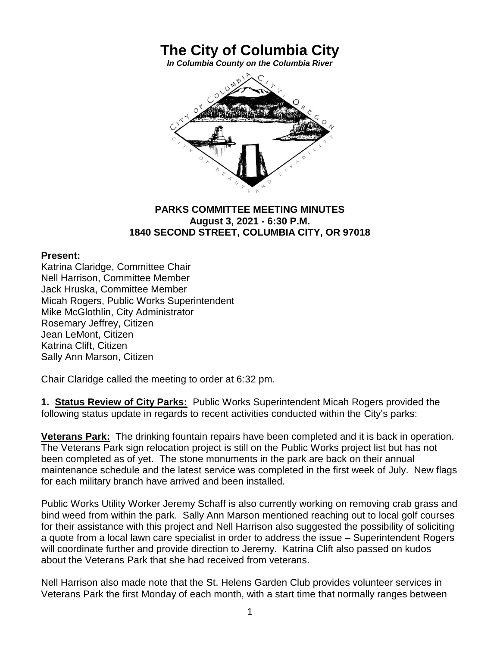## **The City of Columbia City**

*In Columbia County on the Columbia River*



## **PARKS COMMITTEE MEETING MINUTES August 3, 2021 - 6:30 P.M. 1840 SECOND STREET, COLUMBIA CITY, OR 97018**

## **Present:**

Katrina Claridge, Committee Chair Nell Harrison, Committee Member Jack Hruska, Committee Member Micah Rogers, Public Works Superintendent Mike McGlothlin, City Administrator Rosemary Jeffrey, Citizen Jean LeMont, Citizen Katrina Clift, Citizen Sally Ann Marson, Citizen

Chair Claridge called the meeting to order at 6:32 pm.

**1. Status Review of City Parks:** Public Works Superintendent Micah Rogers provided the following status update in regards to recent activities conducted within the City's parks:

**Veterans Park:** The drinking fountain repairs have been completed and it is back in operation. The Veterans Park sign relocation project is still on the Public Works project list but has not been completed as of yet. The stone monuments in the park are back on their annual maintenance schedule and the latest service was completed in the first week of July. New flags for each military branch have arrived and been installed.

Public Works Utility Worker Jeremy Schaff is also currently working on removing crab grass and bind weed from within the park. Sally Ann Marson mentioned reaching out to local golf courses for their assistance with this project and Nell Harrison also suggested the possibility of soliciting a quote from a local lawn care specialist in order to address the issue – Superintendent Rogers will coordinate further and provide direction to Jeremy. Katrina Clift also passed on kudos about the Veterans Park that she had received from veterans.

Nell Harrison also made note that the St. Helens Garden Club provides volunteer services in Veterans Park the first Monday of each month, with a start time that normally ranges between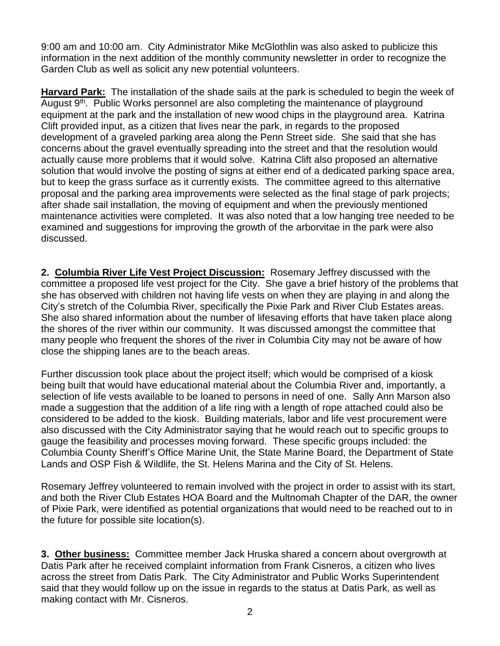9:00 am and 10:00 am. City Administrator Mike McGlothlin was also asked to publicize this information in the next addition of the monthly community newsletter in order to recognize the Garden Club as well as solicit any new potential volunteers.

**Harvard Park:** The installation of the shade sails at the park is scheduled to begin the week of August 9<sup>th</sup>. Public Works personnel are also completing the maintenance of playground equipment at the park and the installation of new wood chips in the playground area. Katrina Clift provided input, as a citizen that lives near the park, in regards to the proposed development of a graveled parking area along the Penn Street side. She said that she has concerns about the gravel eventually spreading into the street and that the resolution would actually cause more problems that it would solve. Katrina Clift also proposed an alternative solution that would involve the posting of signs at either end of a dedicated parking space area, but to keep the grass surface as it currently exists. The committee agreed to this alternative proposal and the parking area improvements were selected as the final stage of park projects; after shade sail installation, the moving of equipment and when the previously mentioned maintenance activities were completed. It was also noted that a low hanging tree needed to be examined and suggestions for improving the growth of the arborvitae in the park were also discussed.

**2. Columbia River Life Vest Project Discussion:** Rosemary Jeffrey discussed with the committee a proposed life vest project for the City. She gave a brief history of the problems that she has observed with children not having life vests on when they are playing in and along the City's stretch of the Columbia River, specifically the Pixie Park and River Club Estates areas. She also shared information about the number of lifesaving efforts that have taken place along the shores of the river within our community. It was discussed amongst the committee that many people who frequent the shores of the river in Columbia City may not be aware of how close the shipping lanes are to the beach areas.

Further discussion took place about the project itself; which would be comprised of a kiosk being built that would have educational material about the Columbia River and, importantly, a selection of life vests available to be loaned to persons in need of one. Sally Ann Marson also made a suggestion that the addition of a life ring with a length of rope attached could also be considered to be added to the kiosk. Building materials, labor and life vest procurement were also discussed with the City Administrator saying that he would reach out to specific groups to gauge the feasibility and processes moving forward. These specific groups included: the Columbia County Sheriff's Office Marine Unit, the State Marine Board, the Department of State Lands and OSP Fish & Wildlife, the St. Helens Marina and the City of St. Helens.

Rosemary Jeffrey volunteered to remain involved with the project in order to assist with its start, and both the River Club Estates HOA Board and the Multnomah Chapter of the DAR, the owner of Pixie Park, were identified as potential organizations that would need to be reached out to in the future for possible site location(s).

**3. Other business:** Committee member Jack Hruska shared a concern about overgrowth at Datis Park after he received complaint information from Frank Cisneros, a citizen who lives across the street from Datis Park. The City Administrator and Public Works Superintendent said that they would follow up on the issue in regards to the status at Datis Park, as well as making contact with Mr. Cisneros.